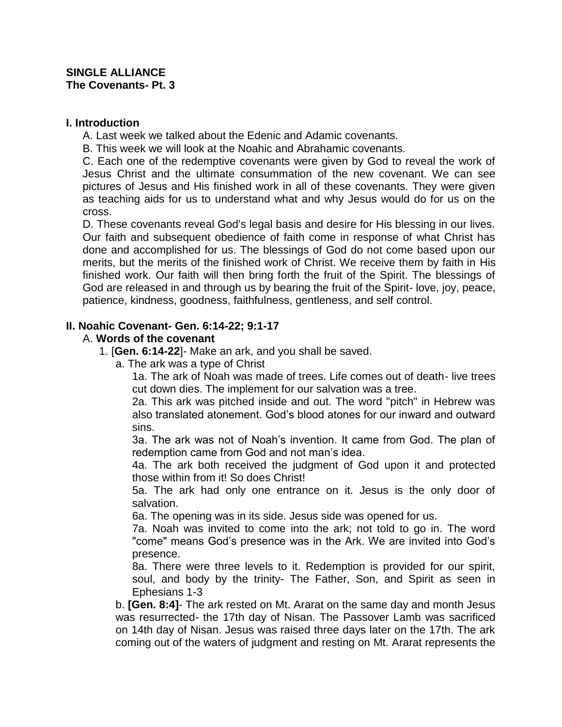### **SINGLE ALLIANCE The Covenants- Pt. 3**

### **I. Introduction**

A. Last week we talked about the Edenic and Adamic covenants.

B. This week we will look at the Noahic and Abrahamic covenants.

C. Each one of the redemptive covenants were given by God to reveal the work of Jesus Christ and the ultimate consummation of the new covenant. We can see pictures of Jesus and His finished work in all of these covenants. They were given as teaching aids for us to understand what and why Jesus would do for us on the cross.

D. These covenants reveal God's legal basis and desire for His blessing in our lives. Our faith and subsequent obedience of faith come in response of what Christ has done and accomplished for us. The blessings of God do not come based upon our merits, but the merits of the finished work of Christ. We receive them by faith in His finished work. Our faith will then bring forth the fruit of the Spirit. The blessings of God are released in and through us by bearing the fruit of the Spirit- love, joy, peace, patience, kindness, goodness, faithfulness, gentleness, and self control.

# **II. Noahic Covenant- Gen. 6:14-22; 9:1-17**

# A. **Words of the covenant**

- 1. [**Gen. 6:14-22**]- Make an ark, and you shall be saved.
	- a. The ark was a type of Christ

1a. The ark of Noah was made of trees. Life comes out of death- live trees cut down dies. The implement for our salvation was a tree.

2a. This ark was pitched inside and out. The word "pitch" in Hebrew was also translated atonement. God's blood atones for our inward and outward sins.

3a. The ark was not of Noah's invention. It came from God. The plan of redemption came from God and not man's idea.

4a. The ark both received the judgment of God upon it and protected those within from it! So does Christ!

5a. The ark had only one entrance on it. Jesus is the only door of salvation.

6a. The opening was in its side. Jesus side was opened for us.

7a. Noah was invited to come into the ark; not told to go in. The word "come" means God's presence was in the Ark. We are invited into God's presence.

8a. There were three levels to it. Redemption is provided for our spirit, soul, and body by the trinity- The Father, Son, and Spirit as seen in Ephesians 1-3

b. **[Gen. 8:4]**- The ark rested on Mt. Ararat on the same day and month Jesus was resurrected- the 17th day of Nisan. The Passover Lamb was sacrificed on 14th day of Nisan. Jesus was raised three days later on the 17th. The ark coming out of the waters of judgment and resting on Mt. Ararat represents the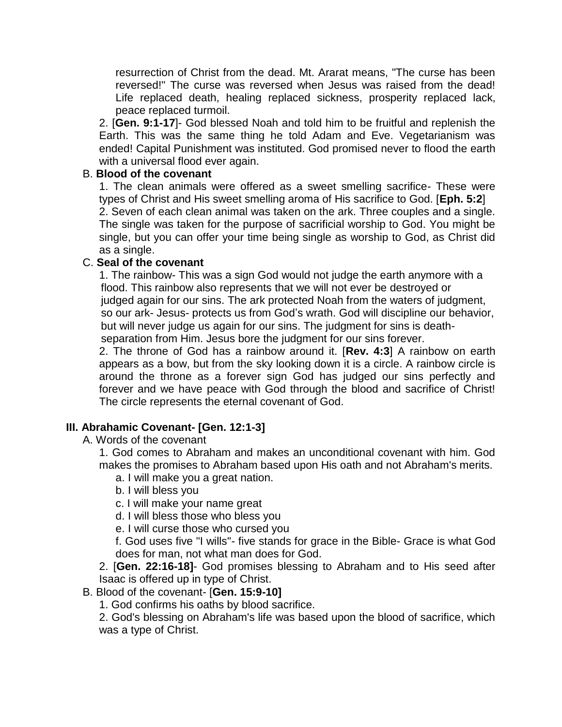resurrection of Christ from the dead. Mt. Ararat means, "The curse has been reversed!" The curse was reversed when Jesus was raised from the dead! Life replaced death, healing replaced sickness, prosperity replaced lack, peace replaced turmoil.

2. [**Gen. 9:1-17**]- God blessed Noah and told him to be fruitful and replenish the Earth. This was the same thing he told Adam and Eve. Vegetarianism was ended! Capital Punishment was instituted. God promised never to flood the earth with a universal flood ever again.

### B. **Blood of the covenant**

1. The clean animals were offered as a sweet smelling sacrifice- These were types of Christ and His sweet smelling aroma of His sacrifice to God. [**Eph. 5:2**] 2. Seven of each clean animal was taken on the ark. Three couples and a single. The single was taken for the purpose of sacrificial worship to God. You might be single, but you can offer your time being single as worship to God, as Christ did as a single.

# C. **Seal of the covenant**

1. The rainbow- This was a sign God would not judge the earth anymore with a flood. This rainbow also represents that we will not ever be destroyed or judged again for our sins. The ark protected Noah from the waters of judgment, so our ark- Jesus- protects us from God's wrath. God will discipline our behavior, but will never judge us again for our sins. The judgment for sins is death separation from Him. Jesus bore the judgment for our sins forever.

2. The throne of God has a rainbow around it. [**Rev. 4:3**] A rainbow on earth appears as a bow, but from the sky looking down it is a circle. A rainbow circle is around the throne as a forever sign God has judged our sins perfectly and forever and we have peace with God through the blood and sacrifice of Christ! The circle represents the eternal covenant of God.

# **III. Abrahamic Covenant- [Gen. 12:1-3]**

A. Words of the covenant

1. God comes to Abraham and makes an unconditional covenant with him. God makes the promises to Abraham based upon His oath and not Abraham's merits.

- a. I will make you a great nation.
- b. I will bless you
- c. I will make your name great
- d. I will bless those who bless you
- e. I will curse those who cursed you

f. God uses five "I wills"- five stands for grace in the Bible- Grace is what God does for man, not what man does for God.

2. [**Gen. 22:16-18]**- God promises blessing to Abraham and to His seed after Isaac is offered up in type of Christ.

# B. Blood of the covenant- [**Gen. 15:9-10]**

1. God confirms his oaths by blood sacrifice.

2. God's blessing on Abraham's life was based upon the blood of sacrifice, which was a type of Christ.